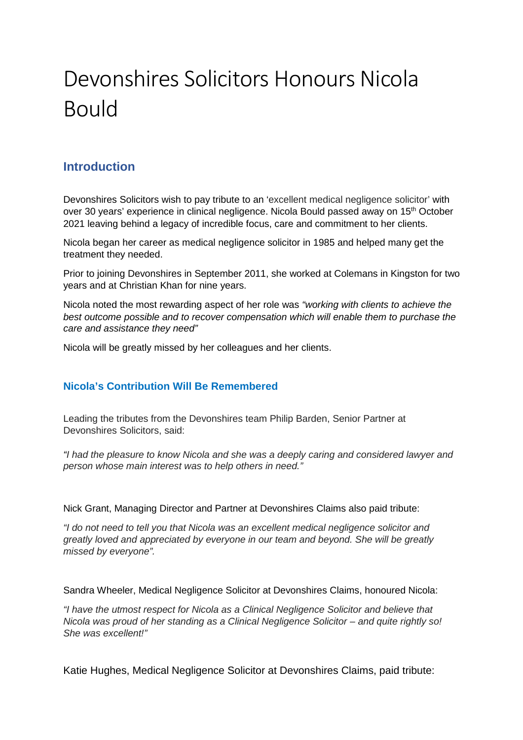# Devonshires Solicitors Honours Nicola Bould

## **Introduction**

Devonshires Solicitors wish to pay tribute to an 'excellent medical negligence solicitor' with over 30 years' experience in clinical negligence. Nicola Bould passed away on 15th October 2021 leaving behind a legacy of incredible focus, care and commitment to her clients.

Nicola began her career as medical negligence solicitor in 1985 and helped many get the treatment they needed.

Prior to joining Devonshires in September 2011, she worked at Colemans in Kingston for two years and at Christian Khan for nine years.

Nicola noted the most rewarding aspect of her role was *"working with clients to achieve the best outcome possible and to recover compensation which will enable them to purchase the care and assistance they need"* 

Nicola will be greatly missed by her colleagues and her clients.

### **Nicola's Contribution Will Be Remembered**

Leading the tributes from the Devonshires team Philip Barden, Senior Partner at Devonshires Solicitors, said:

*"I had the pleasure to know Nicola and she was a deeply caring and considered lawyer and person whose main interest was to help others in need."* 

Nick Grant, Managing Director and Partner at Devonshires Claims also paid tribute:

*"I do not need to tell you that Nicola was an excellent medical negligence solicitor and greatly loved and appreciated by everyone in our team and beyond. She will be greatly missed by everyone".*

Sandra Wheeler, Medical Negligence Solicitor at Devonshires Claims, honoured Nicola:

*"I have the utmost respect for Nicola as a Clinical Negligence Solicitor and believe that Nicola was proud of her standing as a Clinical Negligence Solicitor – and quite rightly so! She was excellent!"* 

Katie Hughes, Medical Negligence Solicitor at Devonshires Claims, paid tribute: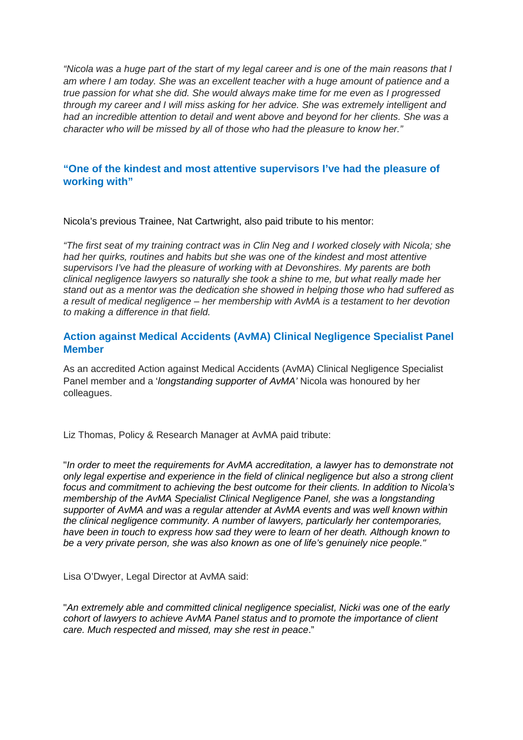*"Nicola was a huge part of the start of my legal career and is one of the main reasons that I am where I am today. She was an excellent teacher with a huge amount of patience and a true passion for what she did. She would always make time for me even as I progressed through my career and I will miss asking for her advice. She was extremely intelligent and had an incredible attention to detail and went above and beyond for her clients. She was a character who will be missed by all of those who had the pleasure to know her."* 

#### **"One of the kindest and most attentive supervisors I've had the pleasure of working with"**

Nicola's previous Trainee, Nat Cartwright, also paid tribute to his mentor:

*"The first seat of my training contract was in Clin Neg and I worked closely with Nicola; she had her quirks, routines and habits but she was one of the kindest and most attentive supervisors I've had the pleasure of working with at Devonshires. My parents are both clinical negligence lawyers so naturally she took a shine to me, but what really made her stand out as a mentor was the dedication she showed in helping those who had suffered as a result of medical negligence – her membership with AvMA is a testament to her devotion to making a difference in that field.*

#### **Action against Medical Accidents (AvMA) Clinical Negligence Specialist Panel Member**

As an accredited Action against Medical Accidents (AvMA) Clinical Negligence Specialist Panel member and a '*longstanding supporter of AvMA'* Nicola was honoured by her colleagues.

Liz Thomas, Policy & Research Manager at AvMA paid tribute:

"*In order to meet the requirements for AvMA accreditation, a lawyer has to demonstrate not only legal expertise and experience in the field of clinical negligence but also a strong client focus and commitment to achieving the best outcome for their clients. In addition to Nicola's membership of the AvMA Specialist Clinical Negligence Panel, she was a longstanding supporter of AvMA and was a regular attender at AvMA events and was well known within the clinical negligence community. A number of lawyers, particularly her contemporaries, have been in touch to express how sad they were to learn of her death. Although known to be a very private person, she was also known as one of life's genuinely nice people."* 

Lisa O'Dwyer, Legal Director at AvMA said:

"*An extremely able and committed clinical negligence specialist, Nicki was one of the early cohort of lawyers to achieve AvMA Panel status and to promote the importance of client care. Much respected and missed, may she rest in peace*."